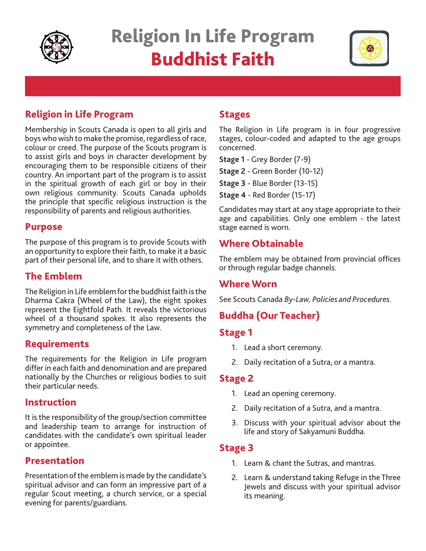

# Religion In Life Program Buddhist Faith



# Religion in Life Program

Membership in Scouts Canada is open to all girls and boys who wish to make the promise, regardless of race, colour or creed. The purpose of the Scouts program is to assist girls and boys in character development by encouraging them to be responsible citizens of their country. An important part of the program is to assist in the spiritual growth of each girl or boy in their own religious community. Scouts Canada upholds the principle that specific religious instruction is the responsibility of parents and religious authorities.

#### Purpose

The purpose of this program is to provide Scouts with an opportunity to explore their faith, to make it a basic part of their personal life, and to share it with others.

# The Emblem

The Religion in Life emblem for the buddhist faith is the Dharma Cakra (Wheel of the Law), the eight spokes represent the Eightfold Path. It reveals the victorious wheel of a thousand spokes. It also represents the symmetry and completeness of the Law.

## **Requirements**

The requirements for the Religion in Life program differ in each faith and denomination and are prepared nationally by the Churches or religious bodies to suit their particular needs.

#### Instruction

It is the responsibility of the group/section committee and leadership team to arrange for instruction of candidates with the candidate's own spiritual leader or appointee.

#### Presentation

Presentation of the emblem is made by the candidate's spiritual advisor and can form an impressive part of a regular Scout meeting, a church service, or a special evening for parents/guardians.

## **Stages**

The Religion in Life program is in four progressive stages, colour-coded and adapted to the age groups concerned.

**Stage 1** - Grey Border (7-9)

**Stage 2** - Green Border (10-12)

**Stage 3** - Blue Border (13-15)

**Stage 4** - Red Border (15-17)

Candidates may start at any stage appropriate to their age and capabilities. Only one emblem - the latest stage earned is worn.

# Where Obtainable

The emblem may be obtained from provincial offices or through regular badge channels.

#### Where Worn

See Scouts Canada *By-Law, Policies and Procedures.*

# Buddha (Our Teacher)

#### Stage 1

- 1. Lead a short ceremony.
- 2. Daily recitation of a Sutra, or a mantra.

#### Stage 2

- 1. Lead an opening ceremony.
- 2. Daily recitation of a Sutra, and a mantra.
- 3. Discuss with your spiritual advisor about the life and story of Sakyamuni Buddha.

## Stage 3

- 1. Learn & chant the Sutras, and mantras.
- 2. Learn & understand taking Refuge in the Three Jewels and discuss with your spiritual advisor its meaning.